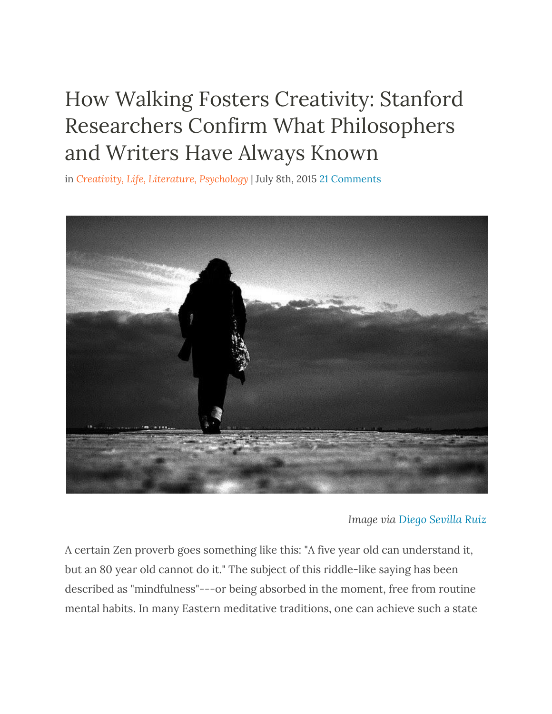## How Walking Fosters [Creativity:](http://www.openculture.com/2015/07/how-walking-fosters-creativity.html) Stanford Researchers Confirm What [Philosophers](http://www.openculture.com/2015/07/how-walking-fosters-creativity.html) and [Writers](http://www.openculture.com/2015/07/how-walking-fosters-creativity.html) Have Always Known

in *Creativity, [Life](http://www.openculture.com/category/life), [Literature,](http://www.openculture.com/category/literature) [Psychology](http://www.openculture.com/category/psychology)* | July 8th, 2015 21 [Comments](http://www.openculture.com/2015/07/how-walking-fosters-creativity.html#comments)



*Image via Diego [Sevilla](https://www.flickr.com/photos/dsevilla/87877992/in/photolist-8Lp4N-cuYqv5-784CRL-jg3Htr-5oDSi1-q5SArt-4BHBBE-6oNzn2-q36pUo-8QrPxA-dxQxFN-bzyuT9-8jJa7N-ay5H9m-26m2rf-qGETk4-9EPDGM-praFZB-boQpP7-nh95tN-kgJDaP-bmSx6o-tXQhLq-ayd48V-vwRY8H-cjH6U5-6Mp5T-f9XE7a-qNUP9A-6fZNmk-hdAG8o-gy4F8K-5FnevW-6vWUJS-Q4zGr-gXCm2W-jpvN58-euNUCZ-qHxwBV-noV18Q-bW3j8j-p7YZLi-5J4Xze-eWuKqB-ayqvZp-7jEgGR-pm4Lnv-bAGLYE-9jWy24-bZALb) Ruiz*

A certain Zen proverb goes something like this: "A five year old can understand it, but an 80 year old cannot do it." The subject of this riddle-like saying has been described as "mindfulness"---or being absorbed in the moment, free from routine mental habits. In many Eastern meditative traditions, one can achieve such a state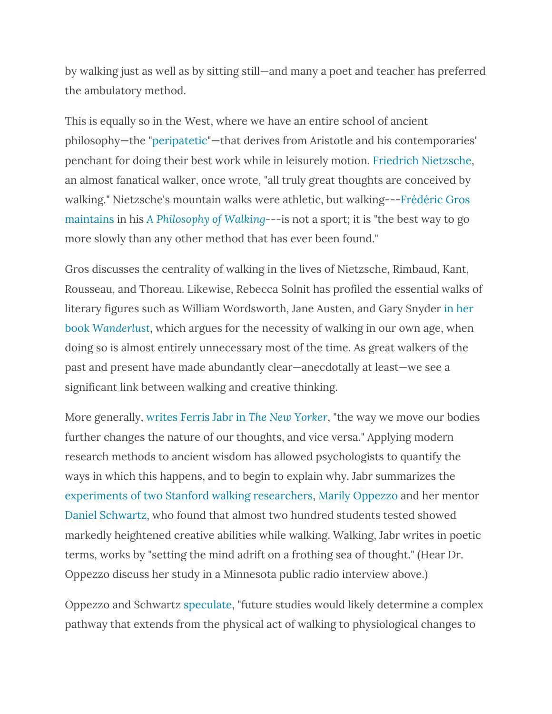by walking just as well as by sitting still—and many a poet and teacher has preferred the ambulatory method.

This is equally so in the West, where we have an entire school of ancient philosophy—the ["peripatetic](https://en.wikipedia.org/wiki/Peripatetic_school)"—that derives from Aristotle and his contemporaries' penchant for doing their best work while in leisurely motion. Friedrich [Nietzsche,](http://plato.stanford.edu/entries/nietzsche/) an almost fanatical walker, once wrote, "all truly great thoughts are conceived by walking." Nietzsche's mountain walks were athletic, but walking---[Frédéric](http://www.theguardian.com/books/2014/apr/20/frederic-gros-walk-nietzsche-kant) Gros [maintains](http://www.theguardian.com/books/2014/apr/20/frederic-gros-walk-nietzsche-kant) in his *A [Philosophy](http://amzn.to/1JTodOW) of Walking*---is not a sport; it is "the best way to go more slowly than any other method that has ever been found."

Gros discusses the centrality of walking in the lives of Nietzsche, Rimbaud, Kant, Rousseau, and Thoreau. Likewise, Rebecca Solnit has profiled the essential walks of literary figures such as William Wordsworth, Jane Austen, and Gary Snyder in [her](http://amzn.to/1Cnu3bl) [book](http://amzn.to/1Cnu3bl) *[Wanderlust](http://amzn.to/1Cnu3bl)*, which argues for the necessity of walking in our own age, when doing so is almost entirely unnecessary most of the time. As great walkers of the past and present have made abundantly clear—anecdotally at least—we see a significant link between walking and creative thinking.

More generally, [writes](http://www.newyorker.com/tech/elements/walking-helps-us-think) Ferris Jabr in *The New [Yorker](http://www.newyorker.com/tech/elements/walking-helps-us-think)*, "the way we move our bodies further changes the nature of our thoughts, and vice versa." Applying modern research methods to ancient wisdom has allowed psychologists to quantify the ways in which this happens, and to begin to explain why. Jabr summarizes the [experiments](http://news.stanford.edu/news/2014/april/walking-vs-sitting-042414.html) of two Stanford walking researchers, Marily [Oppezzo](http://aaalab.stanford.edu/about-us/marily-oppezzo/) and her mentor Daniel [Schwartz,](http://aaalab.stanford.edu/about-us/dan-schwartz/) who found that almost two hundred students tested showed markedly heightened creative abilities while walking. Walking, Jabr writes in poetic terms, works by "setting the mind adrift on a frothing sea of thought." (Hear Dr. Oppezzo discuss her study in a Minnesota public radio interview above.)

Oppezzo and Schwartz [speculate](http://www.apa.org/news/press/releases/2014/04/creativity-walk.aspx), "future studies would likely determine a complex pathway that extends from the physical act of walking to physiological changes to